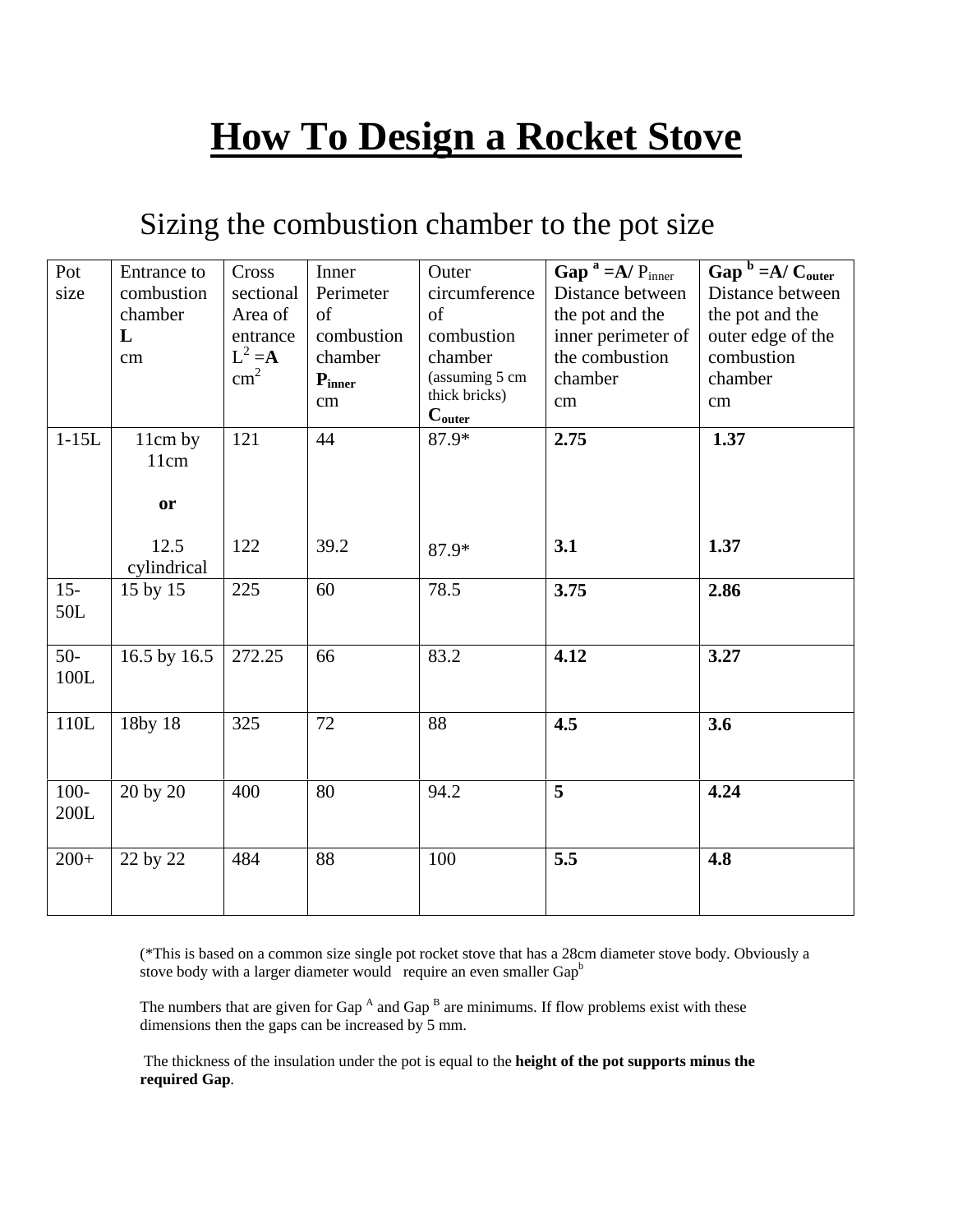# **How To Design a Rocket Stove**

# Sizing the combustion chamber to the pot size

| Pot     | Entrance to  | Cross         | Inner                | Outer              | Gap $a = A/P_{inner}$ | Gap $b = A/C_{outer}$ |
|---------|--------------|---------------|----------------------|--------------------|-----------------------|-----------------------|
| size    | combustion   | sectional     | Perimeter            | circumference      | Distance between      | Distance between      |
|         | chamber      | Area of       | of                   | of                 | the pot and the       | the pot and the       |
|         | L            | entrance      | combustion           | combustion         | inner perimeter of    | outer edge of the     |
|         | cm           | $L^2 = A$     | chamber              | chamber            | the combustion        | combustion            |
|         |              | $\text{cm}^2$ | $\mathbf{P}_{inner}$ | (assuming 5 cm     | chamber               | chamber               |
|         |              |               | cm                   | thick bricks)      | cm                    | cm                    |
|         |              |               |                      | $C_{\text{outer}}$ |                       |                       |
| $1-15L$ | 11cm by      | 121           | 44                   | $87.9*$            | 2.75                  | 1.37                  |
|         | 11cm         |               |                      |                    |                       |                       |
|         |              |               |                      |                    |                       |                       |
|         | <b>or</b>    |               |                      |                    |                       |                       |
|         |              |               |                      |                    |                       |                       |
|         | 12.5         | 122           | 39.2                 | 87.9*              | 3.1                   | 1.37                  |
|         | cylindrical  |               |                      |                    |                       |                       |
| $15 -$  | 15 by 15     | 225           | 60                   | 78.5               | 3.75                  | 2.86                  |
| 50L     |              |               |                      |                    |                       |                       |
|         |              |               |                      |                    |                       |                       |
| $50-$   | 16.5 by 16.5 | 272.25        | 66                   | 83.2               | 4.12                  | 3.27                  |
| $100L$  |              |               |                      |                    |                       |                       |
|         |              |               |                      |                    |                       |                       |
| 110L    | 18by 18      | 325           | 72                   | 88                 | 4.5                   | 3.6                   |
|         |              |               |                      |                    |                       |                       |
|         |              |               |                      |                    |                       |                       |
| $100 -$ | 20 by 20     | 400           | 80                   | 94.2               | 5                     | 4.24                  |
| 200L    |              |               |                      |                    |                       |                       |
|         |              |               |                      |                    |                       |                       |
| $200+$  | 22 by 22     | 484           | 88                   | 100                | 5.5                   | 4.8                   |
|         |              |               |                      |                    |                       |                       |
|         |              |               |                      |                    |                       |                       |

(\*This is based on a common size single pot rocket stove that has a 28cm diameter stove body. Obviously a stove body with a larger diameter would require an even smaller  $Gap<sup>b</sup>$ 

The numbers that are given for Gap  $^A$  and Gap  $^B$  are minimums. If flow problems exist with these dimensions then the gaps can be increased by 5 mm.

 The thickness of the insulation under the pot is equal to the **height of the pot supports minus the required Gap**.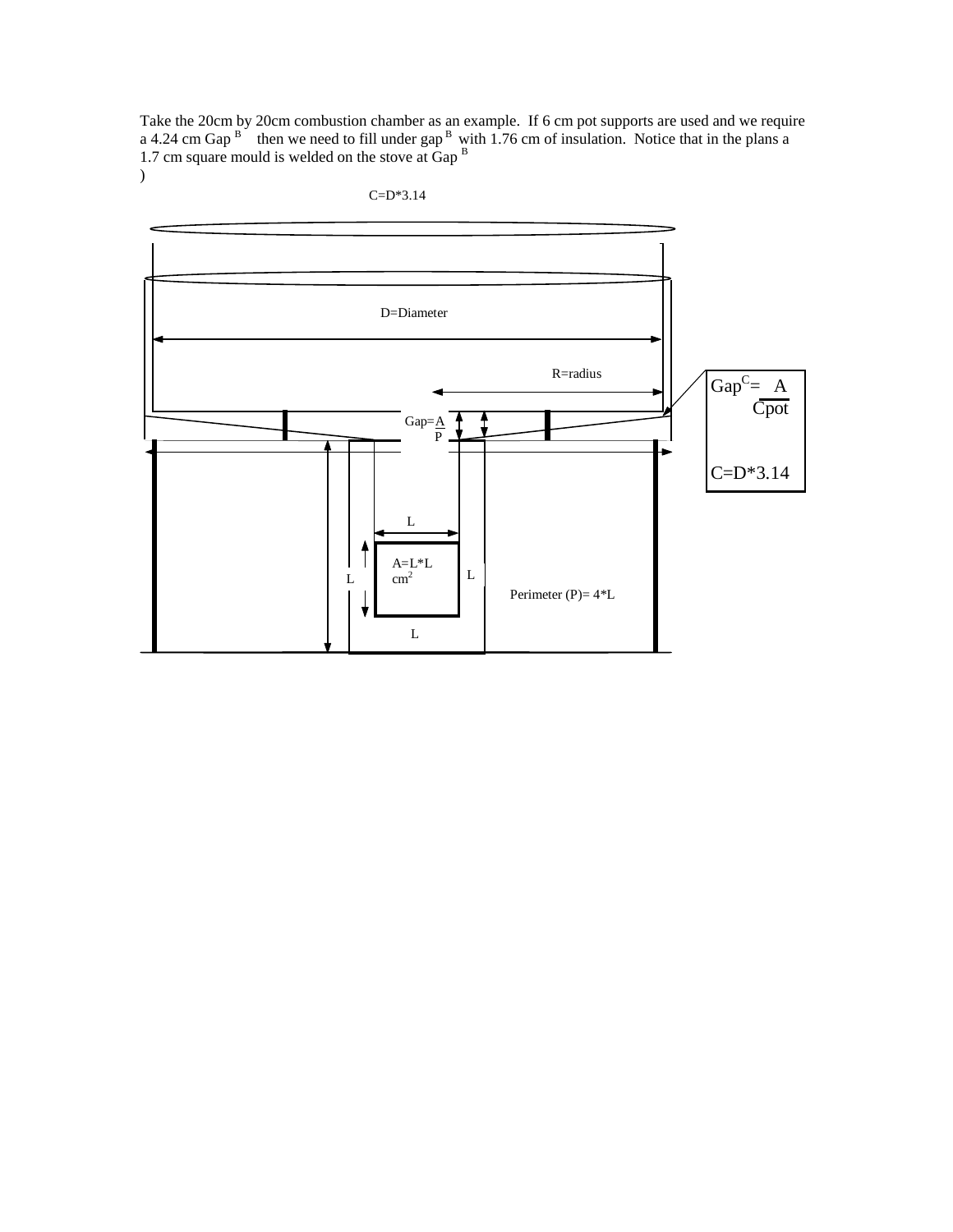Take the 20cm by 20cm combustion chamber as an example. If 6 cm pot supports are used and we require a 4.24 cm Gap  $B$  then we need to fill under gap  $B$  with 1.76 cm of insulation. Notice that in the plans a 1.7 cm square mould is welded on the stove at Gap B  $\overline{)}$ 



C=D\*3.14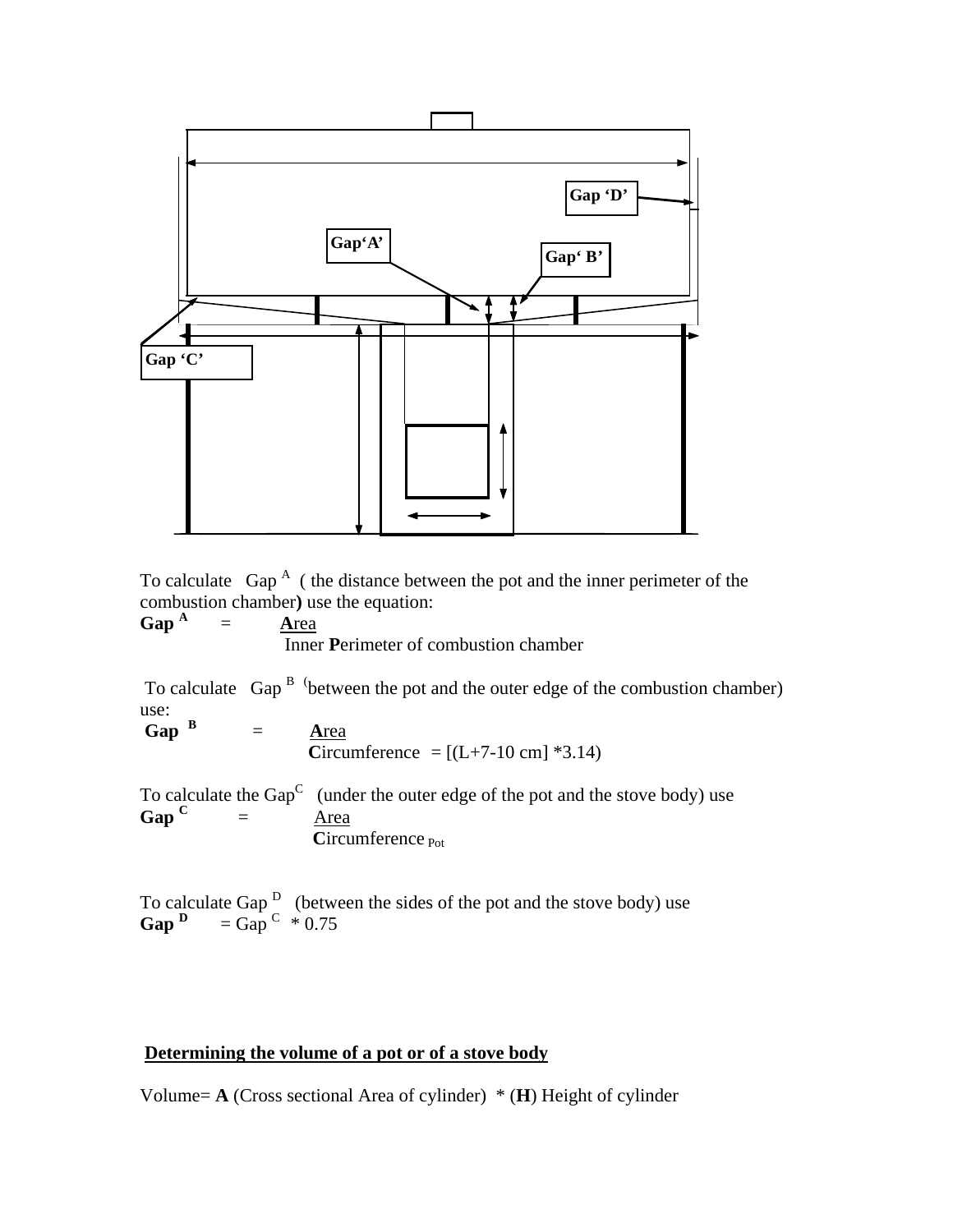

To calculate  $\text{Gap}^A$  (the distance between the pot and the inner perimeter of the combustion chamber**)** use the equation:

**Gap <sup>A</sup>** = **A**rea Inner **P**erimeter of combustion chamber

To calculate Gap  $B$  (between the pot and the outer edge of the combustion chamber) use:

**Gap <sup>B</sup>**  $=$ **Area C**ircumference =  $[(L+7-10 \text{ cm}]$  \*3.14)

To calculate the Gap<sup>C</sup> (under the outer edge of the pot and the stove body) use **Gap <sup>C</sup>**  $=$  Area Circumference Pot

To calculate Gap  $\overline{D}$  (between the sides of the pot and the stove body) use **Gap**  $D = \text{Gap}^C * 0.75$ 

#### **Determining the volume of a pot or of a stove body**

Volume= **A** (Cross sectional Area of cylinder) \* (**H**) Height of cylinder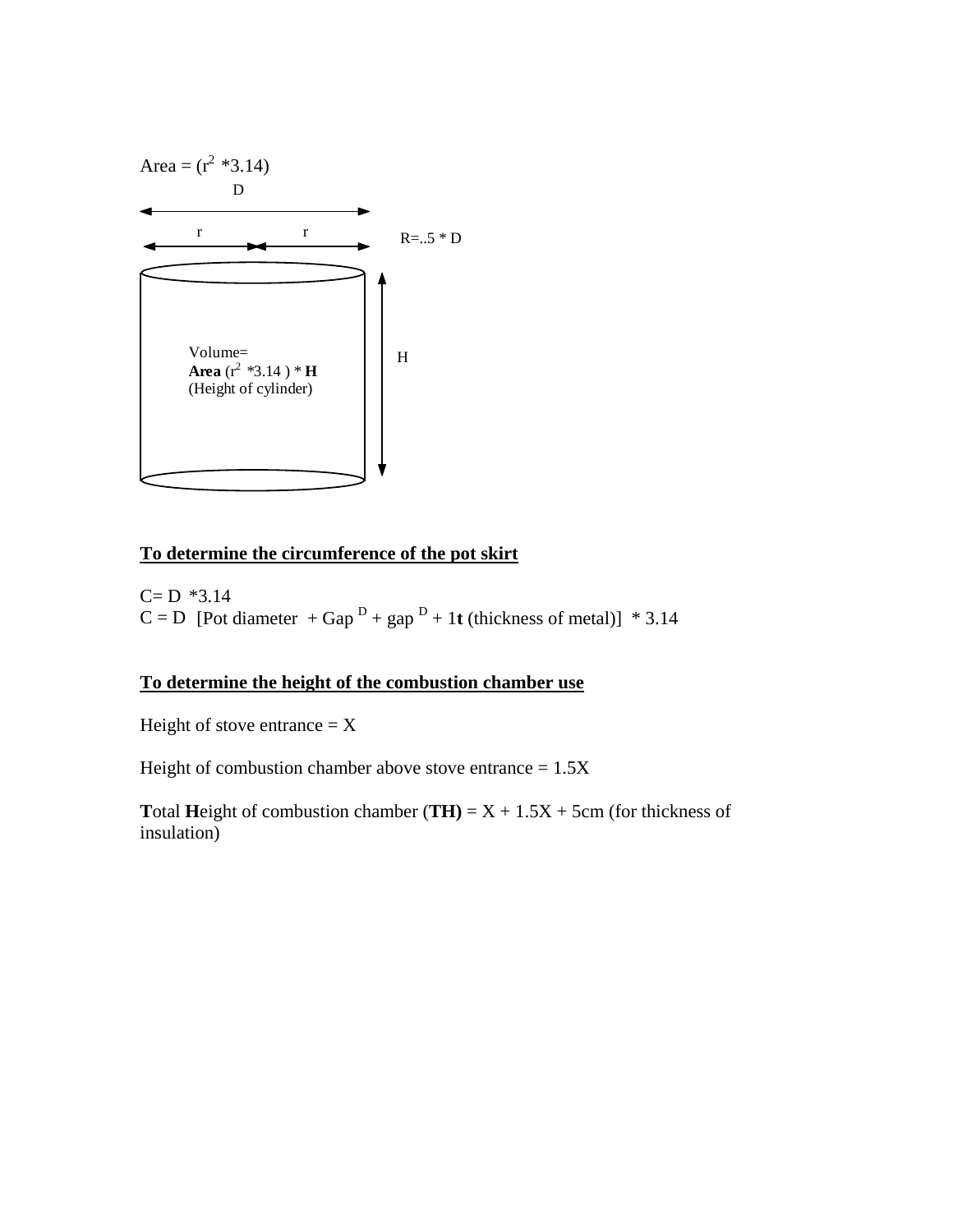

## **To determine the circumference of the pot skirt**

 $C=D$  \*3.14  $C = D$  [Pot diameter + Gap<sup>D</sup> + gap<sup>D</sup> + 1**t** (thickness of metal)] \* 3.14

## **To determine the height of the combustion chamber use**

Height of stove entrance  $= X$ 

Height of combustion chamber above stove entrance  $= 1.5X$ 

**T**otal **Height** of combustion chamber (**TH**) =  $X + 1.5X + 5$ cm (for thickness of insulation)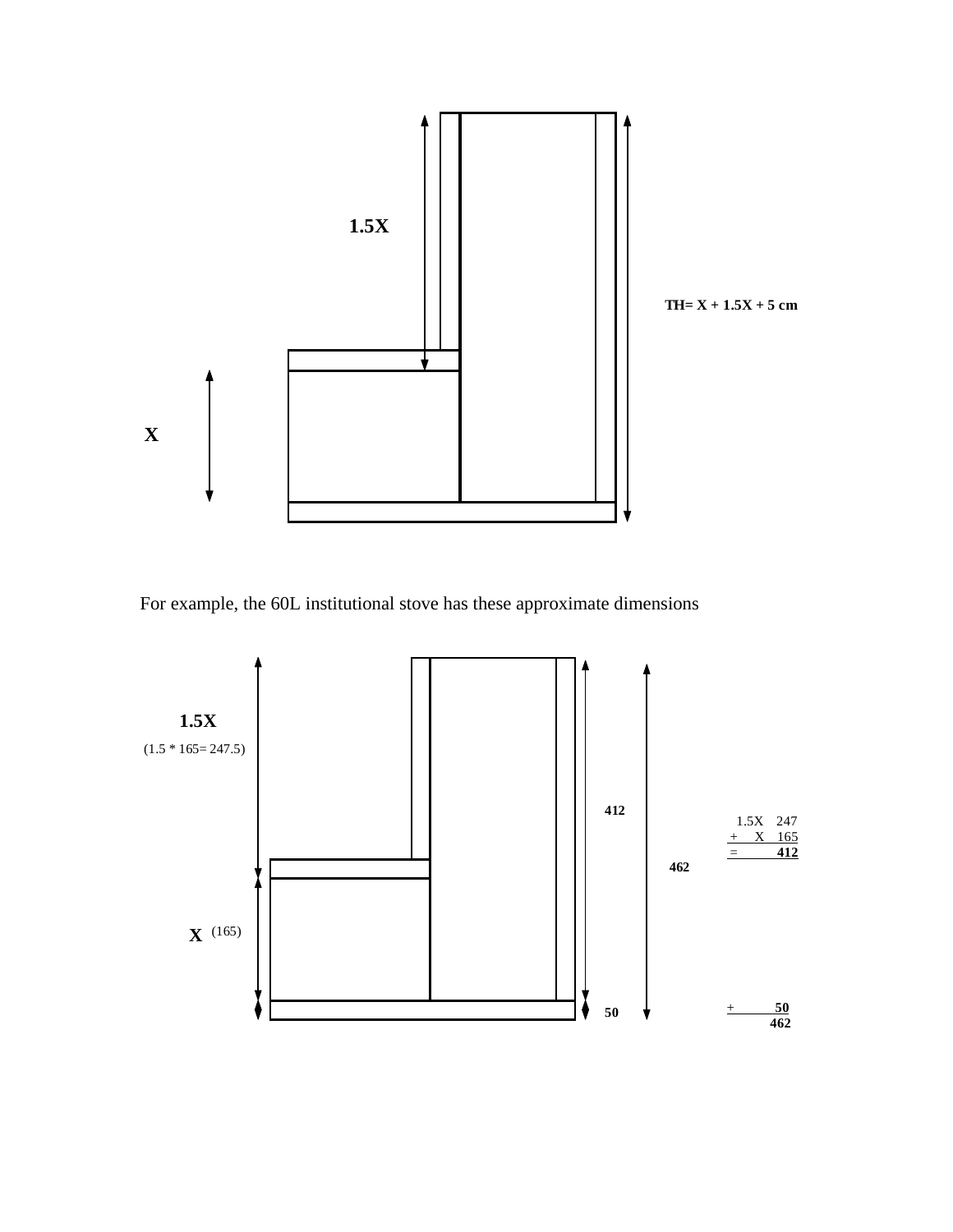

For example, the 60L institutional stove has these approximate dimensions

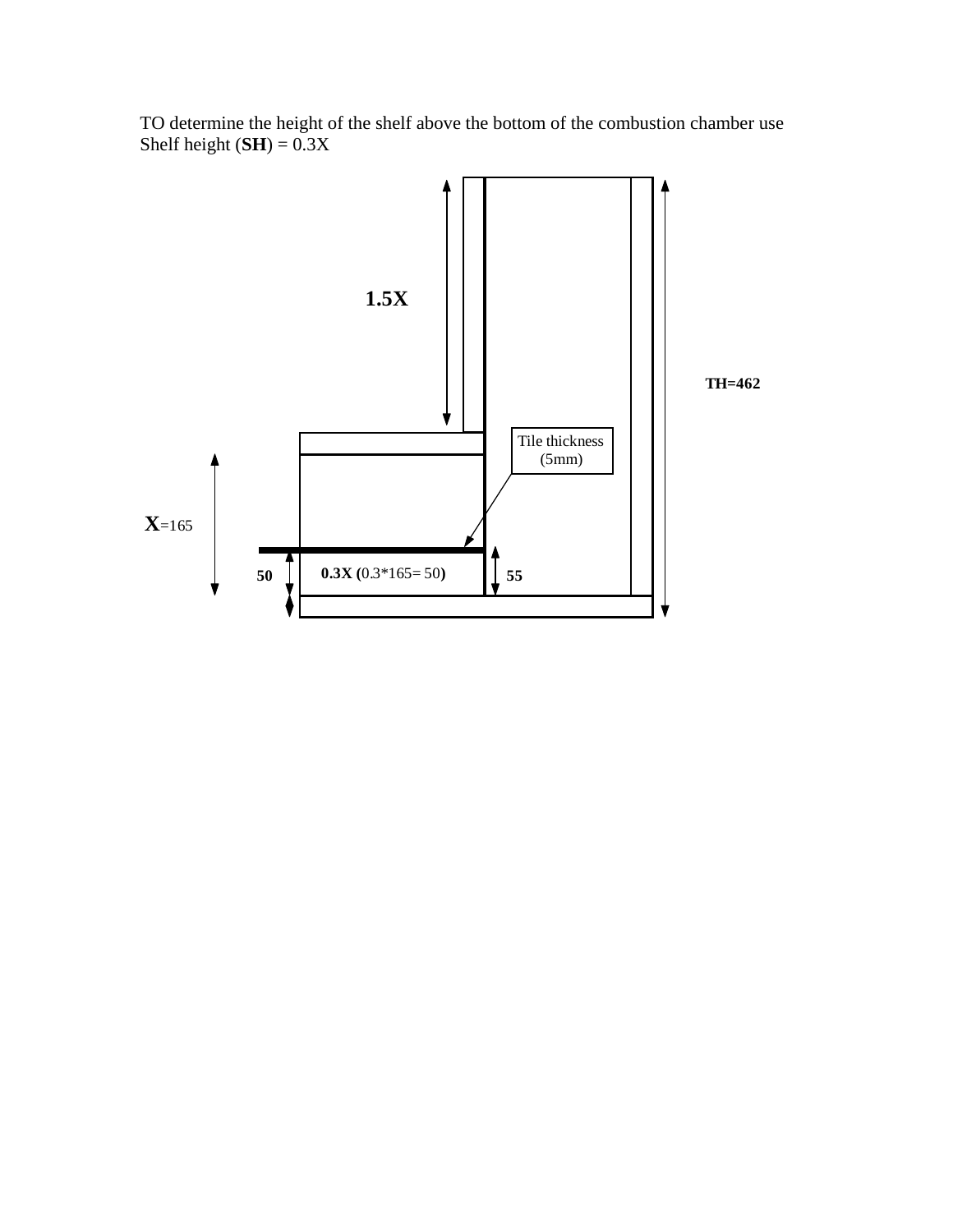